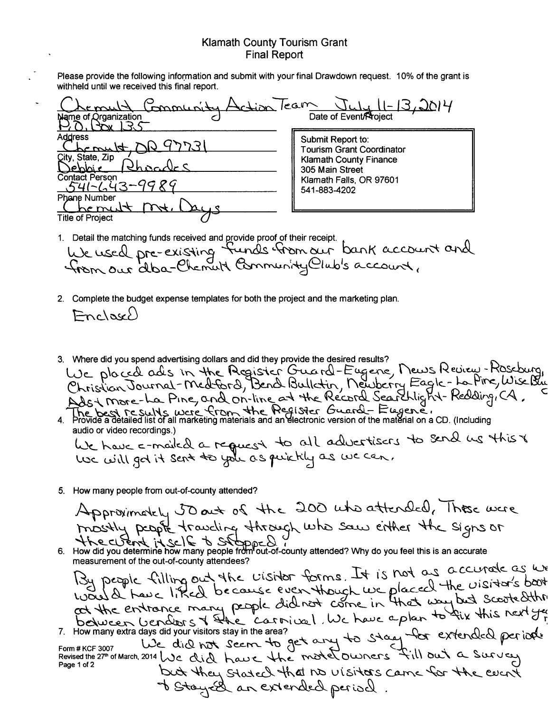## Klamath County Tourism Grant Final Report

Please provide the following information and submit with your final Drawdown request. 10% of the grant is withheld until we received this final report.

| withheld until we received this final report.                                                                           |                                                                                                                                                      |
|-------------------------------------------------------------------------------------------------------------------------|------------------------------------------------------------------------------------------------------------------------------------------------------|
| Jation Team<br>monunity<br>Name of Organization                                                                         | 11-13,2014<br>Date of Event/Project                                                                                                                  |
| <b>Address</b><br>$\frac{1}{4}$<br>City, State, Zip<br><u> Sebbie</u><br>Contact Person<br>741-643-9989<br>Phane Number | Submit Report to:<br><b>Tourism Grant Coordinator</b><br><b>Klamath County Finance</b><br>305 Main Street<br>Klamath Falls, OR 97601<br>541-883-4202 |
| <b>Title of Project</b>                                                                                                 |                                                                                                                                                      |

1. Detail the matching funds received and Qrovide proof of their receipt.

We used pre-existing funds from our b Detail the matching funds received and provide proof of their receipt.<br>We used pre-existing funds from our bank account and<br>from our alba-Chemult Community Club's account.

- 2. Complete the budget expense templates for both the project and the marketing plan.  $Fnclex$
- 3. Where did you spend advertising dollars and did they provide the desired results? Where all you spend advertising dollars and did mey provide the desired results?<br>USE placed ads in the Acgister Guard-Eugene, News Review-Roseburg,<br>Christian Journal-Medford, Bend Bulletin, Newberry Eagle-La-Pine, Wise Bur The best results were from the Register Guard - Eugene.
- audio or video recordings.)

audio or video recordings.)<br>We have c-mailed a request to all advertisers to send we this to<br>Use will got it sent to you as puickly as we can.

5. How many people from out-of-county attended?

Approximately 50 act of the 200 who attended, These were mostly people traveling through who saw either the signs or<br>the cutent it self to suppose of the saw either the signs or<br>6. How did you determine how many people from out-of-county attended? Why do you feel this is an accu

measurement of the out-of-county attendees?

measurement of the out-of-country attendees?<br>
By people filling out the visitor forms. It is not as a courate as we<br>
By people filling out the visitor forms. It is not as a courate as we<br>
we liked be course even though we

7. How many extra days did your visitors stay in the area?<br>Form # KCF 3007 We did not Seem to get any to stay for extended per idele<br>Revised the 27" of March, 2014 We did have the motel owners fill out a Survey but they stated that no visitors came for the event I Stay El an extended period.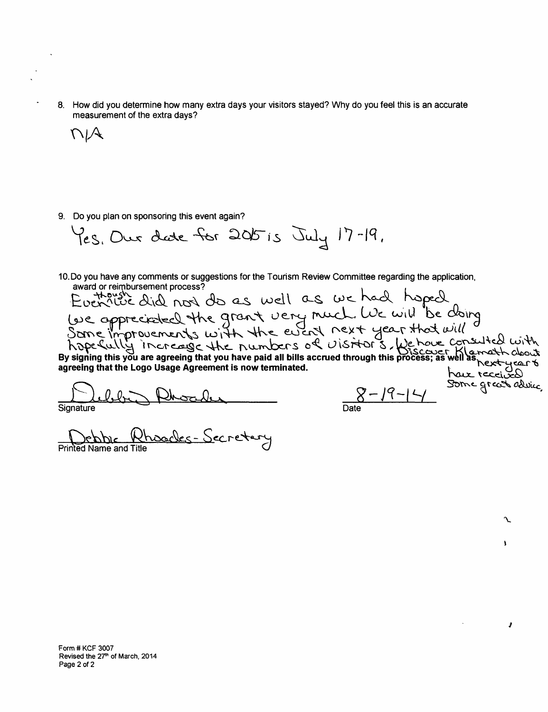8. How did you determine how many extra days your visitors stayed? Why do you feel this is an accurate measurement of the extra days?

 $V/A$ 

9. Do you plan on sponsoring this event again?

 $\gamma_{eS}$ , Our date for 2015 is July 17-19,

10. Do you have any comments or suggestions for the Tourism Review Communes regume to the avant or reimbursement process?<br>
Luck this did not do as well as we had hoped<br>
(we appreciated the grant very much. We will be doing

 $l$ ibr Rhoader **Signature** 

Date

J

Ń

و

Die Rhoodes- Secretary